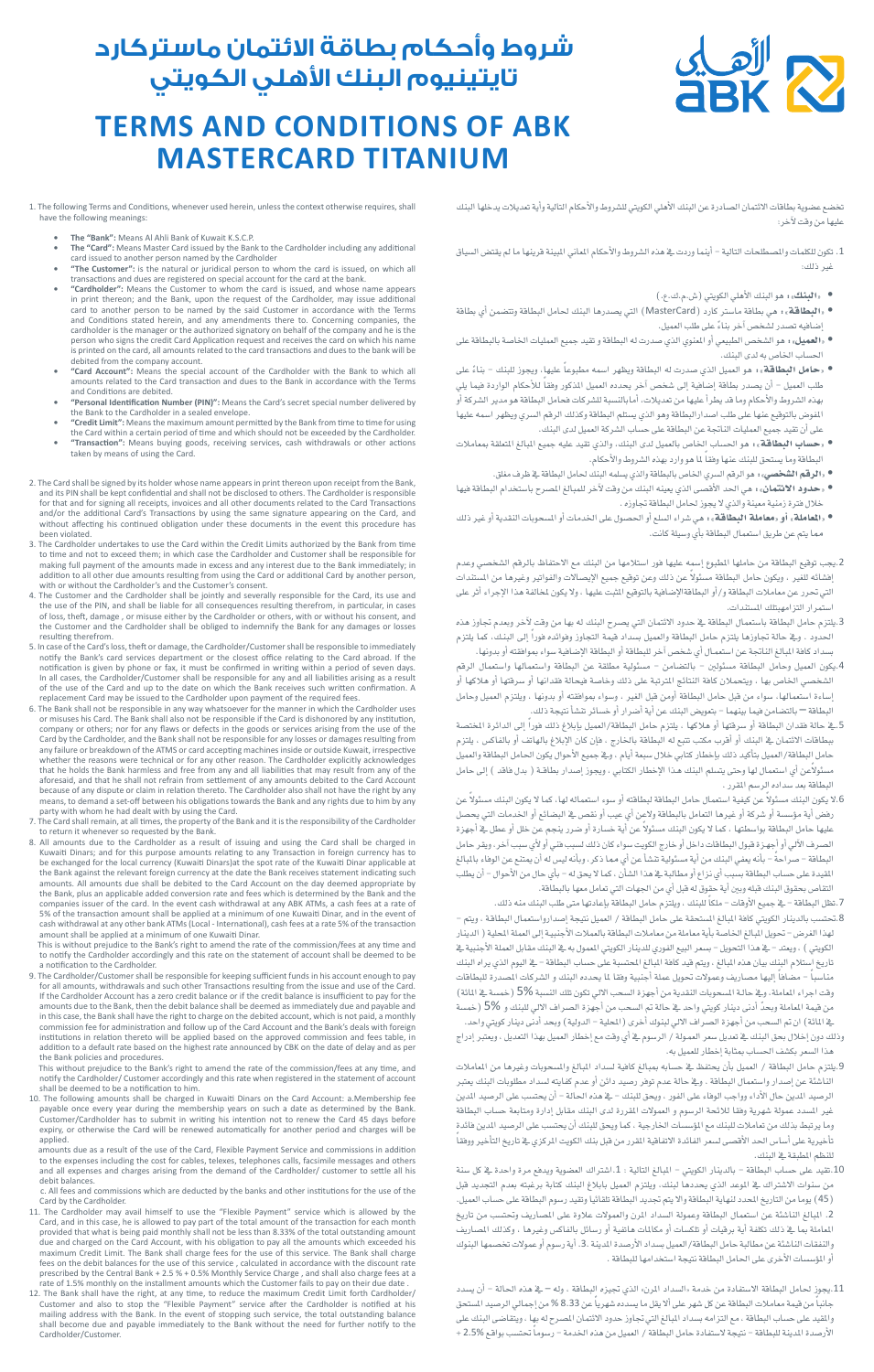

## **شروط وأحكام بطاقة االئتمان ماستركارد تايتينيوم البنك األهلي الكويتي**

## **TERMS AND CONDITIONS OF ABK MASTERCARD TITANIUM**

تخضع عضوية بطاقات الائتمان الصادرة عن البنك الأهلي الكويتي للشروط والأحكام التالية وأية تعديلات يدخلها البنك عليها من وقت لآخر:

- 1. تكون للكلمات والمصطلحات التالية أينما وردت ية هذه الشروط والأحكام الماني البينة قرينها ما لم يقتض السياق غير ذلك:
	- »البنك«: هو البنك الأهلي الكويتي )�ش.م.ك.ع.(
- »البطاقة«: هي بطاقة ما�شرت كارد )MasterCard )التي ي�شدرها البنك حلامل البطاقة وتت�ضمن أي بطاقة .<br>إضافيه تصدر لشخص آخر بناءً على طلب العميل.
- «العميل»: هو الشخص الطبيعي أو المنوي الذي صدرت له البطاقة و تقيد جميع العمليات الخاصة بالبطاقة على الحساب الخاص به لدى البنك.
- «حامل البطاقة»، هو العميل الذي صدرت له البطاقة ويظهر اسمه مطبوعاً عليهاٍ، ويجوز للبنك بناءً على طلب العميل – أن يصدر بطاقة إضافية إلى شخص آخر يحدده العميل المذكور وفقاً للأحكام الواردة فيما يلي بهذه الشروط والأحكام وما قد يطرأ عليها من تعديلات، أمابالنسبة للشركات فحامل البطاقة هو مدير الشركة أو المفوض بالتوقيع عنها على طلب اصدارالبطاقة وهو الذي يستلم البطاقة وكذلك الرقم السري ويظهر اسمه عليها على أن تقيد جميع العمليات الناجتة عن البطاقة على ح�شاب ال�شركة العميل لدى البنك.
- «ح**ساب البطاقة**»، هو الحساب الخاص بالعميل لدى البنك، والذي تقيد عليه جميع البالغ المتعلقة بمعاملات البطاقة وما يستحق للبنك عنها وفقاً لما هو وارد بهذه الشروط والأحكام.
	- «الرقم الشخصي» : هو الرقم السري الخاص بالبطاقة والذي يسلمه البنك لحامل البطاقة يخ ظرف مغلق.
- «ح**دود الائتمان**»، هي الحد الأقصى الذي يعينه البنك من وقت لآخر للمبالغ الصرح باستخدام البطاقة فيها خلال فترة زمنية معينة والذي لا يجوز لحامل البطاقة تجاوزه .
- »املعاملة« أو »معاملة البطاقة«: هي �شراء ال�شلع أو احل�شول على اخلدمات أو امل�شحوبات النقدية أو غري ذلك مما يتم عن طريق ا�شتعمال البطاقة بأي و�شيلة كانت.
- .<br>2.يجب توقيع البطاقة من حاملها المطبوع إسمِه عليها فور استلامها من البنك مع الاحتفاظ بالرقم الشخصي وعدم إفشائه للغير ، ويكون حامل البطاقة مسئولاً عن ذلك وعن توقيع جميع الإيصالات والفواتير وغيرها من المستندات التي حترر عن معامالت البطاقة و/أو البطاقةالإ�ضافية بالتوقيع املثبت عليها ، وال يكون ملخالفة هذا الإجراء أثر على استمرار التزامهبتلك المستندات.
- .<br>3يلتزم حامل البطاقة باستعمال البطاقة يف حدود الائتمان التي يصرح البنك له بها من وقت لآخر وبعدم تجاوز هذه الحدود . ويخ حالة تجاوزها يلتزم حامل البطاقة والعميل بسداد قيمة التجاوز وفوائده فوراً إلى البنـك، كما يلتزم بسداد كافة البالغ الناتجة عن استعمـال أي شخص آخر للبطاقة أو البطاقة الإضافية سواء بموافقته أو بدونها.<br>.
- 4.يكون العميل وحامل البطاقة مسئولين بالتضامن مسئولية مطلقة عن البطاقة واستعمالها واستعمال الرقم سي الخاص بها ، ويتحملان كافة النتائج الترتبة على ذلك وخاصة فيحالة فقدانها أو سرقتها أو هلاكها أو إ�شاءة ا�شتعمالها، �شواء من قبل حامل البطاقة أومن قبل الغري ، و�شواء مبوافقته أو بدونها ، ويلتزم العميل وحامل البطاقة — بالتضامن فيما بينهما – بتعويض البنك عن أية أضرار أو خسائر تشأ نتيجة ذلك.<br>-
- 5.يخ حالة فقدان البطاقة أو سرقتها أو هلاكها ، يلتزم حامل البطاقة/العميل بإبلاغ ذلك فوراً إلى الدائرة المختصة ببطاقات الائتمان في البنك أو أقرب مكتب تتبع له البطاقة بالخارج ، فإن كان الإبلاغ بالهاتف أو بالفاكس ، يلتزم حامل البطاقة/العميل بتأكيد ذلك بإخطار كتابي خالل �شبعة أيام ، ويف جميع الأحوال يكون احلامل البطاقة والعميل .<br>مسئولاًعن أي استعمال لها وحتى يتسلم البنك هـذا الإخطار الكتابي ، ويجوز إصدار بطاقــة ( بدل فاقد ) إلى حامل البطاقة بعد سداده الرسم المقرر .
- .<br>8الا يكون البنك مسئولاً عن كيفية استعمال حامل البطاقة لبطاقته أو سوء استعماله لها، كما لا يكون البنك مسئولاً عن رفض أية مؤسسة أو شركة أو غيرها التعامل بالبطاقة ولاعن أي عيب أو نقص ية البضائع أو الخدمات التي يحصل ر بن عليها .<br>عليها حامل البطاقة بواسطتها ، كما لا يكون البنك مسئولاً عن أية خسارة أو ضرر ينجم عن خلل أو عطل يف أجهزة لصرف الآلي أو أجهـزة قبول البطاقات داخل أو خارج الكويت سواء كان ذلك لسبب فني أو لأي سبب آخر، ويقر حامل البطاقة – صر احةً – بأنه يعفي البنك من أية مسئولية تنشأ عن أي مما ذكر، وبأنه ليس له أن يمتنع عن الوفاء بالبالغ املقيدة على ح�شاب البطاقة ب�شبب أي نزاع أو مطالبة يف هذا ال�شأن ، كما ال يحق له - بأي حال من الأحوال - أن يطلب التقاص بحقوق البنك قبله وبين أية حقوق له قبل أي من الجهات التي تعامل معها بالبطاقة.
- 7.تظل البطاقة يخ جميع الأوقات ملكاً للبنك ، ويلتزم حامل البطاقة بإعادتها متى طلب البنك منه ذلك. ، بالدينار الكويتي كافة المبالغ المستحقة على حامل البطاقة / العميل نتيجة إصدارواستعمال البطاقـة ، ويتم لهذا الغرض - تحويل البالغ الخاصة بأية معاملة من معاملات البطاقة بالعملات الأجنبيـة إلى العملة المحلية ( الدينار الكويتي ) ، ويعتد – يف هذا التحويل – بسعر البيع الفوري للدينار الكويتي الممول به يف البنك مقابل العملة الأجنبية يف تاريخ استلام البنك بيان هذه البالغ ، ويتم قيد كافة البالغ الحتسبة على حساب البطاقة - ية اليوم الذي يراه البنك مناسباً – مضافاً إليها مصاريف وعمولات تحويل عملة أجنبية وفقا لما يحدده البنك و الشركات المصدرة للبطاقات وقت اجراء الماملة، ويف حالـة المسحوبات النقدية من أجهزة السحب الالي تكون تلك النسبة 5% (خمسة يف المائة) من قيمة الماملة وبحدّ أدنى دينار كويتي واحد ي حالة تم السحب من أجهزة الصراف الالي للبنك و 5% (خمسة يف المائة) ان تم السحب من أجهزة الصراف الالي لبنوك أخرى ( المحلية – الدولية) وبحد أدنى دينار كويتي واحد.
- وذلك دون إخالل بحق البنك يف تعديل �شعر العمـولة / الر�شوم يف أي وقت مع إخطار العميل بهذا التعديل ، ويعترب إدراج هذا السعر بكشف الحساب بمثابة إخطار للعميل به.
- 9.يلتزم حامل البطاقة / العميل بأن يحتفظ ية حسابه بمبالغ كافية لسداد المبالغ والمسحوبات وغيرها من الماملات الناشئة عن إصدار واستعمال البطاقة . ويف حالة عدم توفر رصيد دائن أو عدم كفايته لسداد مطلوبات البنك يعتبر يد المدين حال الأداء وواجب الوفاء على الفور ، ويحق للبنك – ية هذه الحالة – أن يحتسب على الرصيد المدين غير السدد عمولة شهرية وفقا للائحة الرسوم و العمولات المقررة لدى البنك مقابل إدارة ومتابعة حساب البطاقة<br>وما يرتبط بذلك من تعاملات للبنك مع المؤسسات الخارجية ، كما ويحق للبنك أن يحتسب على الرصيد الدين فائدة رما يرتبط بذلك من تعاملات للبنك مع المؤسسات الخارجية ، كما ويحق للبنك أن يحتسب على الرصيد المدين فائدة<br>تأخيرية على أساس الحد الأقصى لسعر الفائدة الاتفاقية المقرر من قبل بنك الكويت المركزي فے تاريخ التأخير ووفقاً للنظم املطبقة يف البنك.
- .10تقيد على حساب البطاقة بالدينار الكويتي البالغ التالية : 1.اشتراك العضوية ويدفع مرة واحدة <u>ب</u>خ كل س من �شنوات اال�شرتاك يف املوعد الذي يحددها لبنك، ويلتزم العميل بابالغ البنك كتابة برغبته بعدم التجديد قبل )45( يوما من التاريخ املحدد لنهاية البطاقة واال يتم جتديد البطاقة تلقائيا وتقيد ر�شوم البطاقة على ح�شاب العميل. 2. المبالغ الناشئة عن استعمال البطاقة وعمولة السداد المرن والعمولات علاوة على المصاريف وتحتسب من تاريخ الماملة بما يخ ذلك تكلفة أية برقيات أو تلكسات أو مكالمات هاتفية أو رسائل بالفاكس وغيرها ، وكذلك المساريف والنفقات الناشئة عن مطالبة حامل البطاقة/العميل بسداد الأرصدة المدينة .3. أية رسوم أو عمولات تخصمها البنوك أو المؤسسات الأخرى على الحامل البطاقة نتيجة استخدامها للبطاقة .
- .11يجوز حلامل البطاقة اال�شتفادة من خدمة »ال�شداد املرن« الذي جتيزه البطاقة ، وله يف هذه احلالة أن ي�شدد جانباً من قيمة معاملات البطاقة عن كل شهر على ألا يقل ما يسدده شهرياً عن 8.33 % من إجمالي الرصيد المستحق والمقيد على حساب البطاقة ، مع التزامه بسداد المبالغ التي تجاوز حدود الائتمان المصرح له بها ، ويتقاضى البنك على الأرصدة المدينة للبطاقة – نتيجة لاستفادة حامل البطاقة / العميل من هذه الخدمة – رسوماً تحتسب بواقع %2.5 +

1. The following Terms and Conditions, whenever used herein, unless the context otherwise requires, shall<br>have the following meanings: wing meanings

- The "Bank": Means Al Ahli Bank of Kuwait K.S.C.P.
- The "Card": Means Master Card issued by the Bank to the Cardholder including any additional
- card issued to another person named by the Cardholder<br>• "The Customer": is the natural or juridical person to whom the card is issued, on which all<br>transactions and dues are registered on special account for the card at th
- "Cardholder": Means the Customer to whom the card is issued, and whose name appears in print thereon; and the Bank, upon the request of the Cardholder, may issue additional card to another person to be named by the said Customer in accordance with the Terms<br>and Conditions stated herein, and any amendments there to. Concerning companies, the<br>cardholder is the manager or the authorized signator person who signs the credit Card Application request and receives the card on which his name<br>is printed on the card, all amounts related to the card transactions and dues to the bank will be<br>debited from the company accoun
- **all which the company coordinates the special account of the Cardholder with the Bank to which all "Card Account": Means the special account of the Cardholder with the Bank to which all** amounts related to the Card transaction and dues to the Bank in accordance with the Terms .debited are Conditions and
- **Personal Identification Number (PIN)":** Means the Card's secret special number delivered by  $\blacksquare$ the Bank to the Cardholder in a sealed envelope.<br>"Credit Limit": Means the maximum amount permitted by the Bank from time to time for using
- 
- "Credit Limit": Means the maximum amount permitted by the Bank from time to time for using<br>the Card within a certain period of time and which should not be exceeded by the Cardholder.<br>"Transaction": Means buying goods, r
- .The Card shall be signed by its holder whose name appears in print thereon upon receipt from the Bank, and its PIN shall be kept confidential and shall bears the disclosed to others. The Cardholder is responsible<br>and its and/or the additional Card's Transactions by using the same signature appearing on the Card, and<br>without affecting his continued obligation under these documents in the event this procedure has
- been violated.<br>3. The Cardholder undertakes to use the Card within the Credit Limits authorized by the Bank from time to time and not to exceed them; in which case the Cardholder and Customer shall be responsible for making full payment of the amounts made in excess and any interest due to the Bank immediately; in<br>addition to all other due amounts resulting from using the Card or additional Card by another person,<br>with or without the C
- and the card the formation of the formation of the severally responsible for the Card, its use and 4. The Customer and the Cardholder shall be jointly and severally responsible for the Card, its use and the use of the PIN, and shall be liable for all consequences resulting therefrom, in particular, in cases<br>of loss, theft, damage , or misuse either by the Cardholder or others, with or without his consent, and<br>the Customer resulting therefrom
- $\frac{1}{2}$ . In case of the Card's loss, theft or damage, the Cardholder/Customer shall be responsible to immediately notify the Bank's card services department or the closest office relating to the Card abroad. If the<br>notification is given by phone or fax, it must be confirmed in writing within a period of seven days.<br>In all cases, the C
- of the use of the Card and up to the date on which the Bank receives such written confirmation. A<br>replacement Card may be issued to the Cardholder upon payment of the required fees.<br>6. The Bank shall not be responsible in company or others; nor for any flaws or defects in the goods or services arising from the use of the Card by the Cardholder, and the Bank shall not be responsible for any losses or damages resulting from<br>any failure or breakdown of the ATMS or card accepting machines inside or outside Kuwait, irrespective<br>whether the reas aforesaid, and that he shall not refrain from settlement of any amounts debited to the Card Account<br>because of any dispute or claim in relation thereto. The Cardholder also shall not have the right by any means, to demand a set-off between his obligations towards the Bank and any rights due to him by any
- party with whom he had dealt with by using the Card.<br>7. The Card shall remain, at all times, the property of the Bank and it is the responsibility of the Cardholder<br>to return it whenever so requested by the Bank.<br>8. All am
- be exchanged for the local currency (Kuwaiti Dinars)at the spot rate of the Kuwaiti Dinar applicable at<br>the Bank against the relevant foreign currency at the date the Bank receives statement indicating such<br>amounts. All am the Bank, plus an applicable added conversion rate and fees which is determined by the Bank and the companies issuer of the card. In the event cash withdrawal at any ABK ATMs, a cash fees at a rate of<br>5% of the transaction amount shall be applied at a minimum of one Kuwaiti Dinar, and in the event of<br>cash withdrawal at a amount shall be applied at a minimum of one Kuwaiti Dinar.

This is without prejudice to the Bank's right to amend the rate of the commission/fees at any time and<br>to notify the Cardholder accordingly and this rate on the statement of account shall be deemed to be a notification to the Cardholder.

pay to encongence the cardinalism.<br>9. The Cardholder/Customer shall be responsible for keeping sufficient funds in his account enough to pay for all amounts, withdrawals and such other Transactions resulting from the issue and use of the Card.<br>If the Cardholder Account has a zero credit balance or if the credit balance is insufficient to pay for the<br>amounts due in this case, the Bank shall have the right to charge on the debited account, which is not paid, a monthly commission fee for administration and follow up of the Card Account and the Bank's deals with foreign<br>institutions in relation thereto will be applied based on the approved commission and fees table, in<br>addition to a defau the Bank policies and procedures.

This without prejudice to the Bank's right to amend the rate of the commission/fees at any time, and notify the Cardholder/ Customer accordingly and this rate when registered in the statement of account<br>shall be deemed to be a notification to him.<br>10. The following amounts shall be charged in Kuwaiti Dinars on the Card Ac

payable once every year during the membership years on such a date as determined by the Bank.<br>Customer/Cardholder has to submit in writing his intention not to renew the Card 45 days before<br>expiry, or otherwise the Card wi .applied

iounts due as a result of the use of the Card. Flexible Payment Service and commissions in addition to the expenses including the cost for cables, telexes, telephones calls, facsimile messages and others<br>and all expenses and charges arising from the demand of the Cardholder/ customer to settle all his debit balances.

c. All fees and commissions which are deducted by the banks and other institutions for the use of the Card by the Cardholder.<br>11. The Cardholder may avail himself to use the "Flexible Payment" service which is allowed by the

- Card, and in this case, he is allowed to pay part of the total amount of the transaction for each month<br>provided that what is being paid monthly shall not be less than 8.33% of the total outstanding amount<br>due and charged
- shall become due and payable immediately to the Bank without the need for further notify to the<br>Cardholder/Customer.